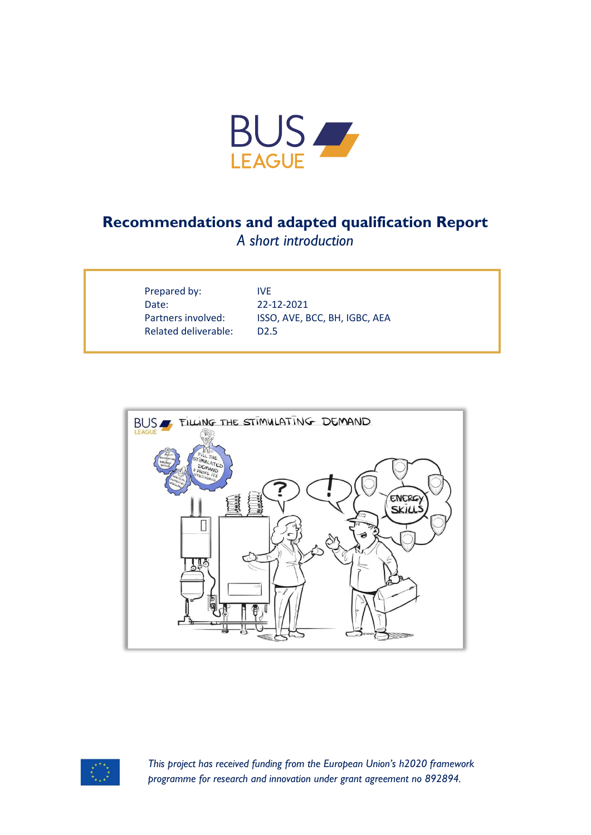

## **Recommendations and adapted qualification Report**

*A short introduction*

| Prepared by:                |
|-----------------------------|
| Date:                       |
| Partners involved:          |
| <b>Related deliverable:</b> |

**IVE** Date: 22-12-2021 ISSO, AVE, BCC, BH, IGBC, AEA  $D2.5$ 





*This project has received funding from the European Union's h2020 framework programme for research and innovation under grant agreement no 892894.*